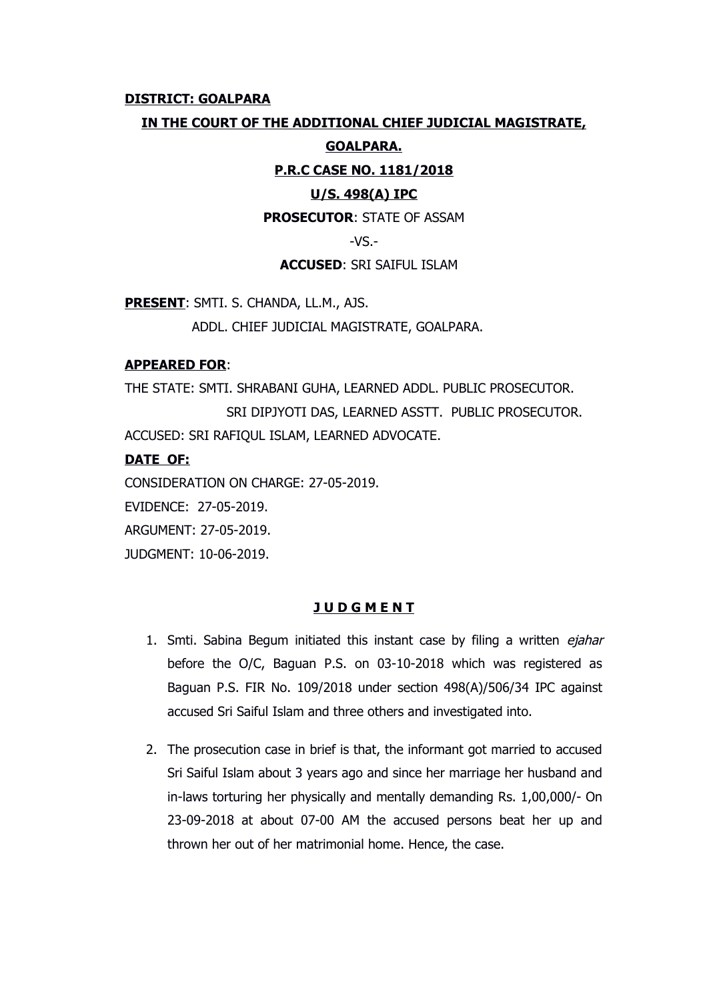#### **DISTRICT: GOALPARA**

# **IN THE COURT OF THE ADDITIONAL CHIEF JUDICIAL MAGISTRATE,**

### **GOALPARA.**

### **P.R.C CASE NO. 1181/2018**

### **U/S. 498(A) IPC**

### **PROSECUTOR**: STATE OF ASSAM

 $-VS -$ 

### **ACCUSED**: SRI SAIFUL ISLAM

**PRESENT**: SMTI. S. CHANDA, LL.M., AJS.

ADDL. CHIEF JUDICIAL MAGISTRATE, GOALPARA.

### **APPEARED FOR**:

THE STATE: SMTI. SHRABANI GUHA, LEARNED ADDL. PUBLIC PROSECUTOR. SRI DIPJYOTI DAS, LEARNED ASSTT. PUBLIC PROSECUTOR. ACCUSED: SRI RAFIQUL ISLAM, LEARNED ADVOCATE.

# **DATE OF:**

CONSIDERATION ON CHARGE: 27-05-2019.

EVIDENCE: 27-05-2019.

ARGUMENT: 27-05-2019.

JUDGMENT: 10-06-2019.

# **J U D G M E N T**

- 1. Smti. Sabina Begum initiated this instant case by filing a written ejahar before the O/C, Baguan P.S. on 03-10-2018 which was registered as Baguan P.S. FIR No. 109/2018 under section 498(A)/506/34 IPC against accused Sri Saiful Islam and three others and investigated into.
- 2. The prosecution case in brief is that, the informant got married to accused Sri Saiful Islam about 3 years ago and since her marriage her husband and in-laws torturing her physically and mentally demanding Rs. 1,00,000/- On 23-09-2018 at about 07-00 AM the accused persons beat her up and thrown her out of her matrimonial home. Hence, the case.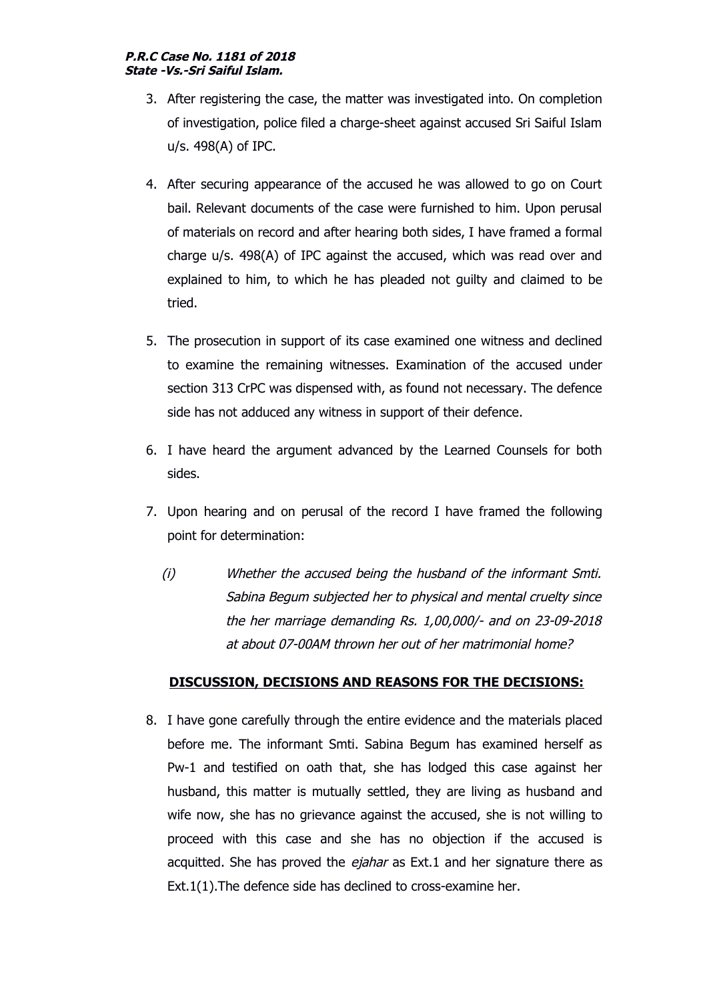#### **P.R.C Case No. 1181 of 2018 State -Vs.-Sri Saiful Islam.**

- 3. After registering the case, the matter was investigated into. On completion of investigation, police filed a charge-sheet against accused Sri Saiful Islam u/s. 498(A) of IPC.
- 4. After securing appearance of the accused he was allowed to go on Court bail. Relevant documents of the case were furnished to him. Upon perusal of materials on record and after hearing both sides, I have framed a formal charge u/s. 498(A) of IPC against the accused, which was read over and explained to him, to which he has pleaded not guilty and claimed to be tried.
- 5. The prosecution in support of its case examined one witness and declined to examine the remaining witnesses. Examination of the accused under section 313 CrPC was dispensed with, as found not necessary. The defence side has not adduced any witness in support of their defence.
- 6. I have heard the argument advanced by the Learned Counsels for both sides.
- 7. Upon hearing and on perusal of the record I have framed the following point for determination:
	- (i) Whether the accused being the husband of the informant Smti. Sabina Begum subjected her to physical and mental cruelty since the her marriage demanding Rs. 1,00,000/- and on 23-09-2018 at about 07-00AM thrown her out of her matrimonial home?

# **DISCUSSION, DECISIONS AND REASONS FOR THE DECISIONS:**

8. I have gone carefully through the entire evidence and the materials placed before me. The informant Smti. Sabina Begum has examined herself as Pw-1 and testified on oath that, she has lodged this case against her husband, this matter is mutually settled, they are living as husband and wife now, she has no grievance against the accused, she is not willing to proceed with this case and she has no objection if the accused is acquitted. She has proved the ejahar as Ext.1 and her signature there as Ext.1(1).The defence side has declined to cross-examine her.